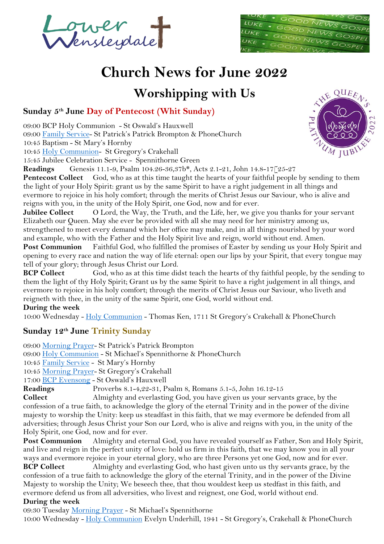rwer<br>Ienstegdate



# **Church News for June 2022**

## **Worshipping with Us**

#### **Sunday 5th June Day of Pentecost (Whit Sunday)**

09:00 BCP Holy Communion - St Oswald's Hauxwell

09:00 [Family Service-](https://mcusercontent.com/12899794d9e1699ab1c44b3c6/files/df82c677-08a5-ace8-1b5f-4735249583e1/Family_Service_2021.pdf) St Patrick's Patrick Brompton & PhoneChurch

10:45 Baptism - St Mary's Hornby

10:45 [Holy Communion-](https://mcusercontent.com/12899794d9e1699ab1c44b3c6/files/24f353a0-39f8-4141-87ab-38a908e48757/Holy_Communion_Dispora.pdf) St Gregory's Crakehall

15:45 Jubilee Celebration Service - Spennithorne Green

**Readings** Genesis 11.1-9, Psalm 104.26-36,37b\*, Acts 2.1-21, John 14.8-17[25-27

**Pentecost Collect** God, who as at this time taught the hearts of your faithful people by sending to them the light of your Holy Spirit: grant us by the same Spirit to have a right judgement in all things and evermore to rejoice in his holy comfort; through the merits of Christ Jesus our Saviour, who is alive and reigns with you, in the unity of the Holy Spirit, one God, now and for ever.

**Jubilee Collect** O Lord, the Way, the Truth, and the Life, her, we give you thanks for your servant Elizabeth our Queen. May she ever be provided with all she may need for her ministry among us, strengthened to meet every demand which her office may make, and in all things nourished by your word and example, who with the Father and the Holy Spirit live and reign, world without end. Amen.

**Post Communion** Faithful God, who fulfilled the promises of Easter by sending us your Holy Spirit and opening to every race and nation the way of life eternal: open our lips by your Spirit, that every tongue may tell of your glory; through Jesus Christ our Lord.

**BCP Collect** God, who as at this time didst teach the hearts of thy faithful people, by the sending to them the light of thy Holy Spirit; Grant us by the same Spirit to have a right judgement in all things, and evermore to rejoice in his holy comfort; through the merits of Christ Jesus our Saviour, who liveth and reigneth with thee, in the unity of the same Spirit, one God, world without end.

#### **During the week**

10:00 Wednesday - Holy [Communion](https://mcusercontent.com/12899794d9e1699ab1c44b3c6/files/24f353a0-39f8-4141-87ab-38a908e48757/Holy_Communion_Dispora.pdf) - Thomas Ken, 1711 St Gregory's Crakehall & PhoneChurch

#### **Sunday 12th June Trinity Sunday**

09:00 [Morning Prayer-](https://mcusercontent.com/12899794d9e1699ab1c44b3c6/files/8a93e577-4704-40fb-97a4-2e59f79af6d4/LW_Morning_Prayer.pdf) St Patrick's Patrick Brompton

09:00 Holy [Communion](https://mcusercontent.com/12899794d9e1699ab1c44b3c6/files/24f353a0-39f8-4141-87ab-38a908e48757/Holy_Communion_Dispora.pdf) - St Michael's Spennithorne & PhoneChurch

10:45 [Family Service](https://mcusercontent.com/12899794d9e1699ab1c44b3c6/files/df82c677-08a5-ace8-1b5f-4735249583e1/Family_Service_2021.pdf) - St Mary's Hornby

10:45 [Morning Prayer-](https://mcusercontent.com/12899794d9e1699ab1c44b3c6/files/8a93e577-4704-40fb-97a4-2e59f79af6d4/LW_Morning_Prayer.pdf) St Gregory's Crakehall

17:00 [BCP Evensong](https://mcusercontent.com/12899794d9e1699ab1c44b3c6/files/5cb34800-0405-4327-b2a1-fd43b3a7fefd/BCP_Evensong_Diaspora.pdf) - St Oswald's Hauxwell

**Readings** Proverbs 8.1-4,22-31, Psalm 8, Romans 5.1-5, John 16.12-15

**Collect** Almighty and everlasting God, you have given us your servants grace, by the confession of a true faith, to acknowledge the glory of the eternal Trinity and in the power of the divine majesty to worship the Unity: keep us steadfast in this faith, that we may evermore be defended from all adversities; through Jesus Christ your Son our Lord, who is alive and reigns with you, in the unity of the Holy Spirit, one God, now and for ever.

**Post Communion** Almighty and eternal God, you have revealed yourself as Father, Son and Holy Spirit, and live and reign in the perfect unity of love: hold us firm in this faith, that we may know you in all your ways and evermore rejoice in your eternal glory, who are three Persons yet one God, now and for ever.

**BCP Collect** Almighty and everlasting God, who hast given unto us thy servants grace, by the confession of a true faith to acknowledge the glory of the eternal Trinity, and in the power of the Divine Majesty to worship the Unity; We beseech thee, that thou wouldest keep us stedfast in this faith, and evermore defend us from all adversities, who livest and reignest, one God, world without end.

#### **During the week**

09:30 Tuesday [Morning Prayer](https://mcusercontent.com/12899794d9e1699ab1c44b3c6/files/8a93e577-4704-40fb-97a4-2e59f79af6d4/LW_Morning_Prayer.pdf) - St Michael's Spennithorne

10:00 Wednesday - Holy [Communion](https://mcusercontent.com/12899794d9e1699ab1c44b3c6/files/24f353a0-39f8-4141-87ab-38a908e48757/Holy_Communion_Dispora.pdf) Evelyn Underhill, 1941 - St Gregory's, Crakehall & PhoneChurch

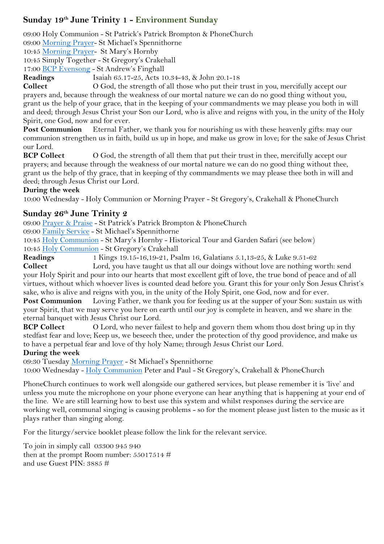## **Sunday 19th June Trinity 1 - Environment Sunday**

09:00 Holy Communion - St Patrick's Patrick Brompton & PhoneChurch

09:00 [Morning Prayer-](https://mcusercontent.com/12899794d9e1699ab1c44b3c6/files/8a93e577-4704-40fb-97a4-2e59f79af6d4/LW_Morning_Prayer.pdf) St Michael's Spennithorne

10:45 [Morning Prayer-](https://mcusercontent.com/12899794d9e1699ab1c44b3c6/files/8a93e577-4704-40fb-97a4-2e59f79af6d4/LW_Morning_Prayer.pdf) St Mary's Hornby

10:45 Simply Together - St Gregory's Crakehall

17:00 [BCP Evensong](https://mcusercontent.com/12899794d9e1699ab1c44b3c6/files/5cb34800-0405-4327-b2a1-fd43b3a7fefd/BCP_Evensong_Diaspora.pdf) - St Andrew's Finghall

**Readings** Isaiah 65.17-25, Acts 10.34-43, & John 20.1-18

**Collect** O God, the strength of all those who put their trust in you, mercifully accept our prayers and, because through the weakness of our mortal nature we can do no good thing without you, grant us the help of your grace, that in the keeping of your commandments we may please you both in will and deed; through Jesus Christ your Son our Lord, who is alive and reigns with you, in the unity of the Holy Spirit, one God, now and for ever.

**Post Communion** Eternal Father, we thank you for nourishing us with these heavenly gifts: may our communion strengthen us in faith, build us up in hope, and make us grow in love; for the sake of Jesus Christ our Lord.

**BCP Collect** O God, the strength of all them that put their trust in thee, mercifully accept our prayers; and because through the weakness of our mortal nature we can do no good thing without thee, grant us the help of thy grace, that in keeping of thy commandments we may please thee both in will and deed; through Jesus Christ our Lord.

#### **During the week**

10:00 Wednesday - Holy Communion or Morning Prayer - St Gregory's, Crakehall & PhoneChurch

#### **Sunday 26th June Trinity 2**

09:00 [Prayer & Praise](https://mcusercontent.com/12899794d9e1699ab1c44b3c6/files/9251d3af-5ff4-440f-b21c-3bf83ab9b7b9/Prayer_Praise.pdf) - St Patrick's Patrick Brompton & PhoneChurch

09:00 [Family Service](https://mcusercontent.com/12899794d9e1699ab1c44b3c6/files/df82c677-08a5-ace8-1b5f-4735249583e1/Family_Service_2021.pdf) - St Michael's Spennithorne

10:45 Holy [Communion](https://mcusercontent.com/12899794d9e1699ab1c44b3c6/files/24f353a0-39f8-4141-87ab-38a908e48757/Holy_Communion_Dispora.pdf) - St Mary's Hornby - Historical Tour and Garden Safari (see below)

10:45 Holy [Communion](https://mcusercontent.com/12899794d9e1699ab1c44b3c6/files/24f353a0-39f8-4141-87ab-38a908e48757/Holy_Communion_Dispora.pdf) - St Gregory's Crakehall

**Readings** 1 Kings 19.15-16,19-21, Psalm 16, Galatians 5.1,13-25, & Luke 9.51-62

**Collect** Lord, you have taught us that all our doings without love are nothing worth: send your Holy Spirit and pour into our hearts that most excellent gift of love, the true bond of peace and of all virtues, without which whoever lives is counted dead before you. Grant this for your only Son Jesus Christ's sake, who is alive and reigns with you, in the unity of the Holy Spirit, one God, now and for ever.

**Post Communion** Loving Father, we thank you for feeding us at the supper of your Son: sustain us with your Spirit, that we may serve you here on earth until our joy is complete in heaven, and we share in the eternal banquet with Jesus Christ our Lord.

**BCP Collect** O Lord, who never failest to help and govern them whom thou dost bring up in thy stedfast fear and love; Keep us, we beseech thee, under the protection of thy good providence, and make us to have a perpetual fear and love of thy holy Name; through Jesus Christ our Lord.

#### **During the week**

09:30 Tuesday [Morning Prayer](https://mcusercontent.com/12899794d9e1699ab1c44b3c6/files/8a93e577-4704-40fb-97a4-2e59f79af6d4/LW_Morning_Prayer.pdf) - St Michael's Spennithorne

10:00 Wednesday - Holy [Communion](https://mcusercontent.com/12899794d9e1699ab1c44b3c6/files/24f353a0-39f8-4141-87ab-38a908e48757/Holy_Communion_Dispora.pdf) Peter and Paul - St Gregory's, Crakehall & PhoneChurch

PhoneChurch continues to work well alongside our gathered services, but please remember it is 'live' and unless you mute the microphone on your phone everyone can hear anything that is happening at your end of the line. We are still learning how to best use this system and whilst responses during the service are working well, communal singing is causing problems - so for the moment please just listen to the music as it plays rather than singing along.

For the liturgy/service booklet please follow the link for the relevant service.

To join in simply call 03300 945 940 then at the prompt Room number:  $55017514 \#$ and use Guest PIN: 3885 #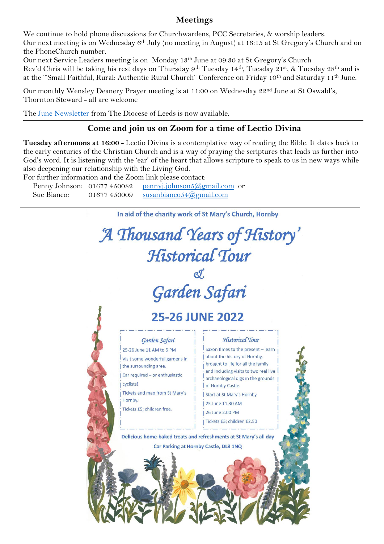#### **Meetings**

We continue to hold phone discussions for Churchwardens, PCC Secretaries, & worship leaders. Our next meeting is on Wednesday 6th July (no meeting in August) at 16:15 at St Gregory's Church and on the PhoneChurch number.

Our next Service Leaders meeting is on Monday 13th June at 09:30 at St Gregory's Church Rev'd Chris will be taking his rest days on Thursday 9th Tuesday 14th, Tuesday 21st, & Tuesday 28th and is at the '"Small Faithful, Rural: Authentic Rural Church" Conference on Friday 10th and Saturday 11th June.

Our monthly Wensley Deanery Prayer meeting is at 11:00 on Wednesday 22nd June at St Oswald's, Thornton Steward - all are welcome

The June [Newsletter](https://mcusercontent.com/12899794d9e1699ab1c44b3c6/files/e879226b-c436-be59-5c69-6d944c6a76e2/leeds_bulletin_June_2022_v2.pdf) from The Diocese of Leeds is now available.

#### **Come and join us on Zoom for a time of Lectio Divina**

**Tuesday afternoons at 16:00** - Lectio Divina is a contemplative way of reading the Bible. It dates back to the early centuries of the Christian Church and is a way of praying the scriptures that leads us further into God's word. It is listening with the 'ear' of the heart that allows scripture to speak to us in new ways while also deepening our relationship with the Living God.

For further information and the Zoom link please contact:

Penny Johnson: 01677 450082 pennyj.johnson5@gmail.com or Sue Bianco: 01677 450009 susanbianco 54@gmail.com

In aid of the charity work of St Mary's Church, Hornby

## A Thousand Years of History' Historical Tour Garden Safari **25-26 JUNE 2022** Historical Tour Garden Safari 25-26 June 11 AM to 5 PM Saxon times to the present - learn about the history of Hornby, Visit some wonderful gardens in brought to life for all the family the surrounding area. and including visits to two real live Car required - or enthusiastic archaeological digs in the grounds cyclists! of Hornby Castle. Tickets and map from St Mary's Start at St Mary's Hornby. Hornby. 25 June 11.30 AM Tickets £5; children free. 1.26 June 2.00 PM Tickets £5; children £2.50 Delicious home-baked treats and refreshments at St Mary's all day Car Parking at Hornby Castle, DL8 1NQ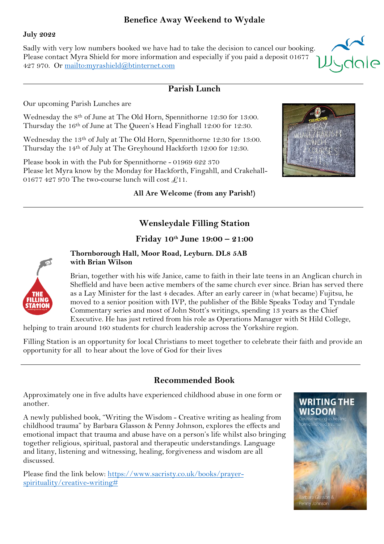#### **Benefice Away Weekend to Wydale**

#### **July 2022**

Sadly with very low numbers booked we have had to take the decision to cancel our booking. Please contact Myra Shield for more information and especially if you paid a deposit 01677 427 970. Or<mailto:myrashield@btinternet.com>

#### **Parish Lunch**

Our upcoming Parish Lunches are

Wednesday the 8th of June at The Old Horn, Spennithorne 12:30 for 13:00. Thursday the 16th of June at The Queen's Head Finghall 12:00 for 12:30.

Wednesday the 13th of July at The Old Horn, Spennithorne 12:30 for 13:00. Thursday the 14th of July at The Greyhound Hackforth 12:00 for 12:30.

Please book in with the Pub for Spennithorne - 01969 622 370 Please let Myra know by the Monday for Hackforth, Fingahll, and Crakehall-01677 427 970 The two-course lunch will cost  $\pounds$ 11.

**All Are Welcome (from any Parish!)**



*i*<br>Iydale

## **Wensleydale Filling Station**

#### **Friday 10th June 19:00 – 21:00**



**Thornborough Hall, Moor Road, Leyburn. DL8 5AB with Brian Wilson**

Brian, together with his wife Janice, came to faith in their late teens in an Anglican church in Sheffield and have been active members of the same church ever since. Brian has served there as a Lay Minister for the last 4 decades. After an early career in (what became) Fujitsu, he moved to a senior position with IVP, the publisher of the Bible Speaks Today and Tyndale Commentary series and most of John Stott's writings, spending 13 years as the Chief Executive. He has just retired from his role as Operations Manager with St Hild College,

helping to train around 160 students for church leadership across the Yorkshire region.

Filling Station is an opportunity for local Christians to meet together to celebrate their faith and provide an opportunity for all to hear about the love of God for their lives

## **Recommended Book**

Approximately one in five adults have experienced childhood abuse in one form or another.

A newly published book, "Writing the Wisdom - Creative writing as healing from childhood trauma" by Barbara Glasson & Penny Johnson, explores the effects and emotional impact that trauma and abuse have on a person's life whilst also bringing together religious, spiritual, pastoral and therapeutic understandings. Language and litany, listening and witnessing, healing, forgiveness and wisdom are all discussed.

Please find the link below: [https://www.sacristy.co.uk/books/prayer](https://www.sacristy.co.uk/books/prayer-spirituality/creative-writing%23)[spirituality/creative-writing#](https://www.sacristy.co.uk/books/prayer-spirituality/creative-writing%23)

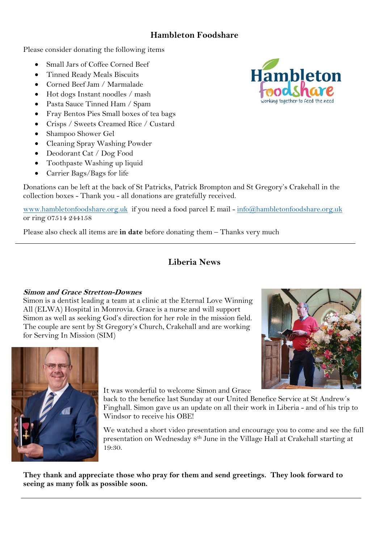### **Hambleton Foodshare**

Please consider donating the following items

- Small Jars of Coffee Corned Beef
- Tinned Ready Meals Biscuits
- Corned Beef Jam / Marmalade
- Hot dogs Instant noodles / mash
- Pasta Sauce Tinned Ham / Spam
- Fray Bentos Pies Small boxes of tea bags
- Crisps / Sweets Creamed Rice / Custard
- Shampoo Shower Gel
- Cleaning Spray Washing Powder
- Deodorant Cat / Dog Food
- Toothpaste Washing up liquid
- Carrier Bags/Bags for life

Donations can be left at the back of St Patricks, Patrick Brompton and St Gregory's Crakehall in the collection boxes - Thank you - all donations are gratefully received.

[www.hambletonfoodshare.org.uk](http://www.hambletonfoodshare.org.uk/) if you need a food parcel E mail - [info@hambletonfoodshare.org.uk](https://d.docs.live.net/0d1949dfe475c8cd/Lower%20Wensleydale/M%20-%20Pew%20News/info@hambletonfoodshare.org.uk) or ring 07514 244158

Please also check all items are **in date** before donating them – Thanks very much

## **Liberia News**

#### **Simon and Grace Stretton-Downes**

Simon is a dentist leading a team at a clinic at the Eternal Love Winning All (ELWA) Hospital in Monrovia. Grace is a nurse and will support Simon as well as seeking God's direction for her role in the mission field. The couple are sent by St Gregory's Church, Crakehall and are working for Serving In Mission (SIM)





It was wonderful to welcome Simon and Grace

back to the benefice last Sunday at our United Benefice Service at St Andrew's Finghall. Simon gave us an update on all their work in Liberia - and of his trip to Windsor to receive his OBE!

We watched a short video presentation and encourage you to come and see the full presentation on Wednesday 8th June in the Village Hall at Crakehall starting at 19:30.

**They thank and appreciate those who pray for them and send greetings. They look forward to seeing as many folk as possible soon.**